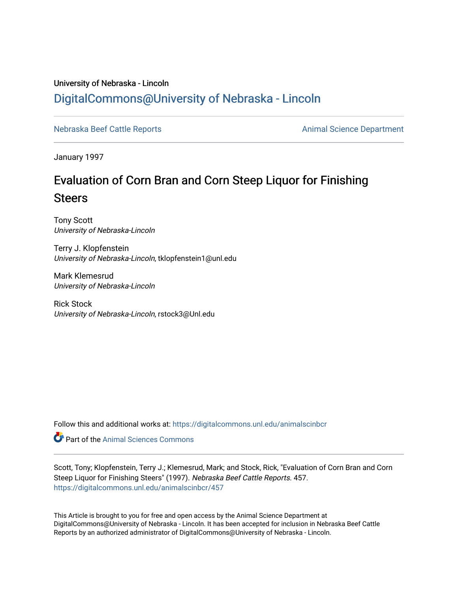### University of Nebraska - Lincoln [DigitalCommons@University of Nebraska - Lincoln](https://digitalcommons.unl.edu/)

[Nebraska Beef Cattle Reports](https://digitalcommons.unl.edu/animalscinbcr) **Animal Science Department** 

January 1997

## Evaluation of Corn Bran and Corn Steep Liquor for Finishing **Steers**

Tony Scott University of Nebraska-Lincoln

Terry J. Klopfenstein University of Nebraska-Lincoln, tklopfenstein1@unl.edu

Mark Klemesrud University of Nebraska-Lincoln

Rick Stock University of Nebraska-Lincoln, rstock3@Unl.edu

Follow this and additional works at: [https://digitalcommons.unl.edu/animalscinbcr](https://digitalcommons.unl.edu/animalscinbcr?utm_source=digitalcommons.unl.edu%2Fanimalscinbcr%2F457&utm_medium=PDF&utm_campaign=PDFCoverPages)

Part of the [Animal Sciences Commons](http://network.bepress.com/hgg/discipline/76?utm_source=digitalcommons.unl.edu%2Fanimalscinbcr%2F457&utm_medium=PDF&utm_campaign=PDFCoverPages) 

Scott, Tony; Klopfenstein, Terry J.; Klemesrud, Mark; and Stock, Rick, "Evaluation of Corn Bran and Corn Steep Liquor for Finishing Steers" (1997). Nebraska Beef Cattle Reports. 457. [https://digitalcommons.unl.edu/animalscinbcr/457](https://digitalcommons.unl.edu/animalscinbcr/457?utm_source=digitalcommons.unl.edu%2Fanimalscinbcr%2F457&utm_medium=PDF&utm_campaign=PDFCoverPages)

This Article is brought to you for free and open access by the Animal Science Department at DigitalCommons@University of Nebraska - Lincoln. It has been accepted for inclusion in Nebraska Beef Cattle Reports by an authorized administrator of DigitalCommons@University of Nebraska - Lincoln.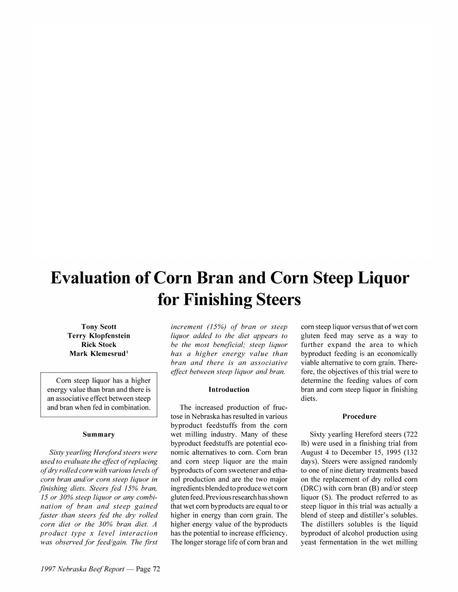# **Evaluation of Corn Bran and Corn Steep Liquor for Finishing Steers**

Tony Scott Terry Klopfenstein Rick Stock Mark Klemesrud<sup>1</sup>

Corn steep liquor has a higher energy value than bran and there is an associative effect between steep and bran when fed in combination.

#### Summary

*Sixt)~j~earIrng Hereford steers were used to evaluate the effect of replacing*  $of$  dry rolled corn with various levels of *corn bran and/or corn steep liquor in* finishing diets. Steers fed 15% bran, 15 or 30% steep liquor or any combi*nation of bran and steep gained faster than steers fed the dry rolled corn diet or the 30% bran diet. A product type x level interaction*  $was$  observed for feed/gain. The first

*increment (15%) of bran or steep liquor added to the diet appears to be the nzost benejicial; steep liquor has a higher energy value than bran and there is an associative ejject befiizen steep liquor and bran.* 

#### Introduction

The increased production of fructose in Nebraska has resulted in various byproduct feedstuffs from the corn wet milling industry. Many of these byproduct feedstuffs are potential economic alternatives to corn. Corn bran and corn steep liquor are the main byproducts of corn sweetener and ethanol production and are the two major ingredients blended to produce wet corn gluten feed. Previous research has shown that wet corn byproducts are equal to or higher in energy than corn grain. The higher energy value of the byproducts has the potential to increase efficiency. The longer storage life of corn bran and corn steep liquor versus that of wet corn gluten feed may serve as a way to further expand the area to which byproduct feeding is an economically viable alternative to corn grain. Therefore. the objectives of this trial were to determine the feeding values of corn bran and corn steep liquor in finishing diets.

#### Procedure

Sixty yearling Hereford steers (722 lb) were used in a finishing trial from August 4 to December 15, 1995 (132 days). Steers were assigned randomly to one of nine dietary treatments based on the replacement of dry rolled corn  $(DRC)$  with corn bran  $(B)$  and/or steep liquor (S). The product referred to as steep liquor in this trial was actually a blend of steep and distiller's solubles. The distillers solubles is the liquid byproduct of alcohol production using yeast fermentation in the wet milling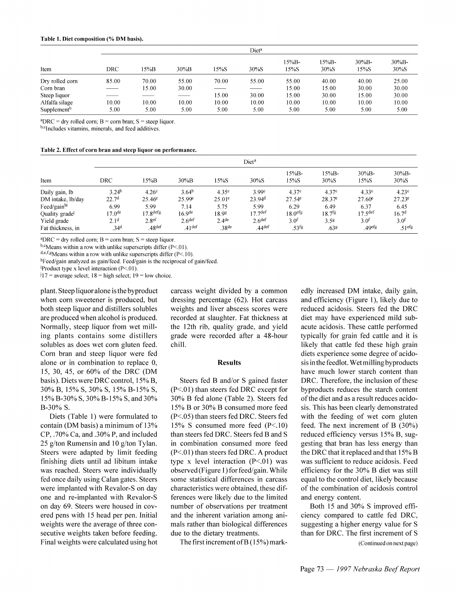| Item                    | Diet <sup>a</sup> |       |          |       |         |               |               |                   |                   |
|-------------------------|-------------------|-------|----------|-------|---------|---------------|---------------|-------------------|-------------------|
|                         | DRC               | 15%B  | $30\%$ B | 15%S  | $30\%S$ | 15%B-<br>15%S | 15%B-<br>30%S | $30\%B -$<br>15%S | $30\%B -$<br>30%S |
| Dry rolled corn         | 85.00             | 70.00 | 55.00    | 70.00 | 55.00   | 55.00         | 40.00         | 40.00             | 25.00             |
| Corn bran               |                   | 15.00 | 30.00    | ___   |         | 15.00         | 15.00         | 30.00             | 30.00             |
| Steep liquor            |                   |       |          | 15.00 | 30.00   | 15.00         | 30.00         | 15.00             | 30.00             |
| Alfalfa silage          | 10.00             | 10.00 | 10.00    | 10.00 | 10.00   | 10.00         | 10.00         | 10.00             | 10.00             |
| Supplement <sup>b</sup> | 5.00              | 5.00  | 5.00     | 5.00  | 5.00    | 5.00          | 5.00          | 5.00              | 5.00              |

 $^{\circ}DRC =$  dry rolled corn; B = corn bran; S = steep liquor.

b,cIncludes vitamins, minerals, and feed additives.

| Table 2. Effect of corn bran and steep liquor on performance. |  |  |  |
|---------------------------------------------------------------|--|--|--|
|---------------------------------------------------------------|--|--|--|

| Item                                              | Diet <sup>a</sup>                                          |                                                            |                                                       |                                                 |                                                        |                                                     |                                                |                                                     |                                                             |
|---------------------------------------------------|------------------------------------------------------------|------------------------------------------------------------|-------------------------------------------------------|-------------------------------------------------|--------------------------------------------------------|-----------------------------------------------------|------------------------------------------------|-----------------------------------------------------|-------------------------------------------------------------|
|                                                   | DRC                                                        | 15%B                                                       | $30\%$ B                                              | 15%S                                            | 30%S                                                   | 15%B-<br>15%S                                       | $15%B -$<br>30%S                               | $30\%B$ -<br>15%S                                   | 30%B-<br>30%S                                               |
| Daily gain, lb                                    | 3.24 <sup>b</sup><br>22.7 <sup>d</sup>                     | 4.26 <sup>c</sup><br>$25.46^e$                             | 3.64 <sup>b</sup><br>25.99 <sup>e</sup>               | 4.35 <sup>c</sup><br>$25.01^e$                  | 3.99 <sup>c</sup><br>23.94 <sup>d</sup>                | 4.37c<br>$27.54^{\circ}$                            | 4.37c<br>$28.37^e$                             | 4.33c<br>$27.60^{\circ}$                            | 4.23 <sup>c</sup><br>$27.23^e$                              |
| DM intake, lb/day<br>Feed/gain <sup>hi</sup>      | 6.99                                                       | 5.99                                                       | 7.14                                                  | 5.75                                            | 5.99                                                   | 6.29                                                | 6.49                                           | 6.37                                                | 6.45                                                        |
| Quality grade<br>Yield grade<br>Fat thickness, in | 17.0 <sup>de</sup><br>2.1 <sup>d</sup><br>.34 <sup>d</sup> | $.7$ $g$ <sup>defg</sup><br>2.8 <sup>ef</sup><br>$.48$ def | 16.9 <sup>de</sup><br>2.6 <sup>def</sup><br>$.41$ def | 18.98<br>2.4 <sup>de</sup><br>.38 <sup>de</sup> | 17.7 <sup>def</sup><br>2.6 <sup>def</sup><br>$.44$ def | 18.0 <sup>erg</sup><br>3.0 <sup>f</sup><br>$.53$ fg | 18.7 <sup>fg</sup><br>3.5 <sup>g</sup><br>.638 | $17.5$ <sup>def</sup><br>3.0 <sup>f</sup><br>.49efg | 16.7 <sup>d</sup><br>3.0 <sup>f</sup><br>.51 <sup>efg</sup> |

 ${}^{\text{a}}\text{DRC}$  = dry rolled corn; B = corn bran; S = steep liquor.

 $b$ , eMeans within a row with unlike superscripts differ (P<.01).

 $d,e,f,g$ Means within a row with unlike superscripts differ (P<.10).

hFeed/gain analyzed as gain/feed. Feed/gain is the reciprocal of gain/feed.

Product type x level interaction  $(P<.01)$ .

 $117$  = average select; 18 = high select; 19 = low choice.

plant. Steep liquor alone is the byproduct when corn sweetener is produced, but both steep liquor and distillers solubles are produced when alcohol is produced. Normally, steep liquor from wet milling plants contains some distillers solubles as does wet corn gluten feed. Corn bran and steep liquor were fed alone or in combination to replace 0, 15, 30, 45, or 60% of the DRC (DM basis). Diets were DRC control, 15% B, 30% B, 15% S, 30% S, 15% B-15% S, 15% B-30% S, 30% B-15% S, and 30% B-30% S.

Diets (Table 1) were formulated to contain (DM basis) a minimum of 13% CP, .70% Ca, and .30% P, and included 25 g/ton Rumensin and 10 g/ton Tylan. Steers were adapted by limit feeding finishing diets until ad libitum intake was reached. Steers were individually fed once daily using Calan gates. Steers were implanted with Revalor-S on day one and re-implanted with Revalor-S on day 69. Steers were housed in covered pens with 15 head per pen. Initial weights were the average of three consecutive weights taken before feeding. Final weights were calculated using hot

carcass weight divided by a common dressing percentage  $(62)$ . Hot carcass weights and liver abscess scores were recorded at slaughter. Fat thickness at the 12th rib, quality grade, and yield grade were recorded after a 48-hour chill.

#### **Results**

Steers fed B and/or S gained faster  $(P<.01)$  than steers fed DRC except for 30% B fed alone (Table 2). Steers fed 15% B or 30% B consumed more feed (P<.05) than steers fed DRC. Steers fed 15% S consumed more feed  $(P<10)$ than steers fed DRC. Steers fed B and S in combination consumed more feed (P<.01) than steers fed DRC. A product type x level interaction  $(P<01)$  was observed (Figure 1) for feed/gain. While some statistical differences in carcass characteristics were obtained, these differences were likely due to the limited number of observations per treatment and the inherent variation among animals rather than biological differences due to the dietary treatments.

The first increment of  $B(15%)$  mark-

edly increased DM intake, daily gain, and efficiency (Figure 1), likely due to reduced acidosis. Steers fed the DRC diet may have experienced mild subacute acidosis. These cattle performed typically for grain fed cattle and it is likely that cattle fed these high grain diets experience some degree of acidosis in the feedlot. Wet milling by products have much lower starch content than DRC. Therefore, the inclusion of these byproducts reduces the starch content of the diet and as a result reduces acidosis. This has been clearly demonstrated with the feeding of wet corn gluten feed. The next increment of B  $(30\%)$ reduced efficiency versus 15% B, suggesting that bran has less energy than the DRC that it replaced and that 15% B was sufficient to reduce acidosis. Feed efficiency for the 30% B diet was still equal to the control diet, likely because of the combination of acidosis control and energy content.

Both 15 and 30% S improved efficiency compared to cattle fed DRC, suggesting a higher energy value for S than for DRC. The first increment of S (Continued on next page)